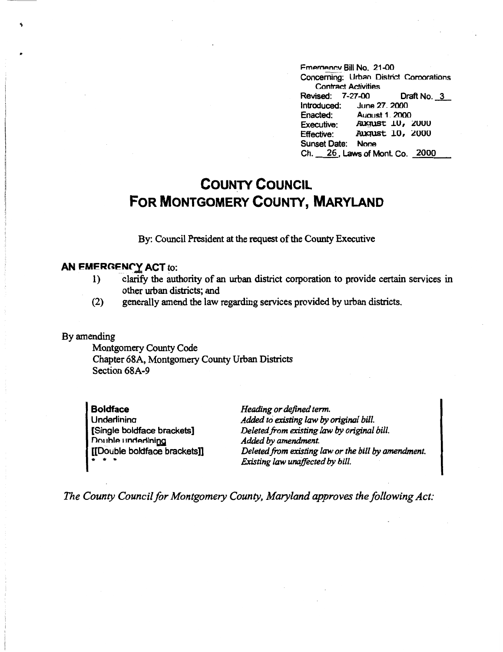Fmergency Bill No. 21-00 Concerning: Urban District Comorations Contract Activities Revised: 7-27-00 Draft No. 3<br>Introduced: June 27, 2000 June 27, 2000 Enacted: August 1, 2000 Executive: August 10, 2000<br>Effective: August 10, 2000 August 10, 2000 Sunset Date: None Ch. 26, Laws of Mont. Co. 2000

# **COUNTY COUNCIL FOR MONTGOMERY COUNTY, MARYLAND**

By: Council President at the request of the County Executive

### **AN EMERGENCY ACT to:**

- 1) clarify the authority of an urban district corporation to provide certain services in other urban districts; and
- (2) generally amend the law regarding services provided by urban districts.

#### By amending

Montgomery County Code Chapter 68A, Montgomery County Urban Districts Section 68A-9

**Boldface**  Underlinina [Single boldface brackets] Double underlining [[Double boldface brackets]] \* \* \*

*Heading or defined term. Added to existing law by original bill. Deleted from existing law by original bill. Added by amendment. Deleted from existing law or the bill by amendment. Existing law unaffected by bill.* 

*The County Council for Montgomery County, Maryland approves the following Act:*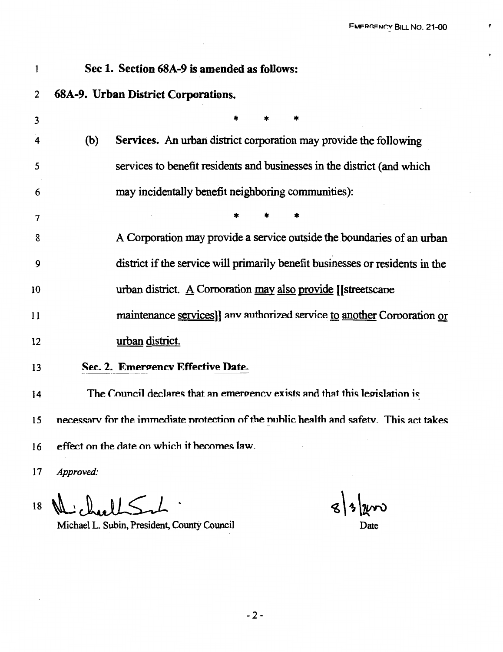٠

 $\gamma$ 

### 1 **Sec 1. Section 68A-9** is **amended as follows:**

## 2 **68A-9. Urban District Corporations.**

| 3  |     |                                                                                        |
|----|-----|----------------------------------------------------------------------------------------|
| 4  | (b) | Services. An urban district corporation may provide the following                      |
| 5  |     | services to benefit residents and businesses in the district (and which                |
| 6  |     | may incidentally benefit neighboring communities):                                     |
| 7  |     |                                                                                        |
| 8  |     | A Corporation may provide a service outside the boundaries of an urban                 |
| 9  |     | district if the service will primarily benefit businesses or residents in the          |
| 10 |     | urban district. $\underline{A}$ Corporation may also provide [[streetscape]            |
| 11 |     | maintenance services]] any authorized service to another Corporation or                |
| 12 |     | urban district.                                                                        |
| 13 |     | Sec. 2. Emergency Effective Date.                                                      |
| 14 |     | The Council declares that an emergency exists and that this legislation is             |
| 15 |     | necessary for the immediate protection of the public health and safety. This act takes |
| 16 |     | effect on the date on which it becomes law.                                            |

17 *Approved:* 

 $18$  $\mathsf{M}$ 

 $s|s|$   $\nu$ 

Michael L. Subin, President, County Council Date